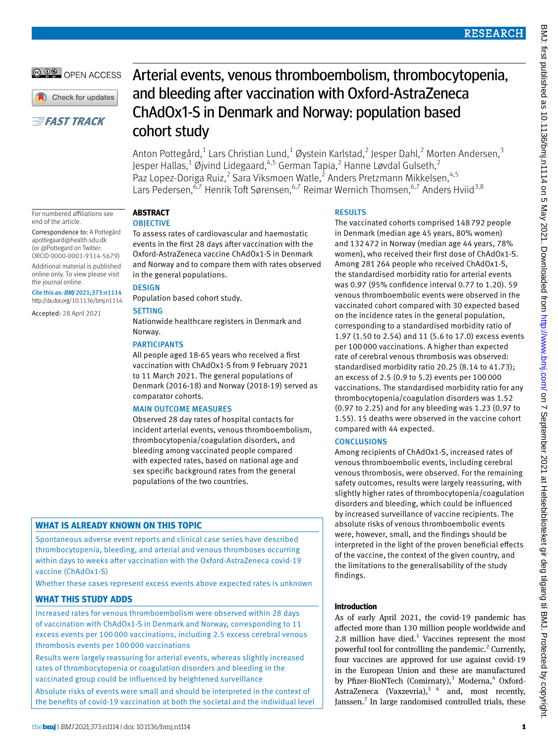# **@ 00 OPEN ACCESS**

Check for updates

# **EFAST TRACK**

For numbered affiliations see

Correspondence to: A Pottegård [apottegaard@health.sdu.dk](mailto:apottegaard@health.sdu.dk)  (or [@Pottegard](https://twitter.com/pottegard) on Twitter: ORCID [0000-0001-9314-5679\)](http://orcid.org/0000-0001-9314-5679) Additional material is published online only. To view please visit

Cite this as: *BMJ* 2021;373:n1114 http://dx.doi.org/10.1136/bmj.n1114 Accepted: 28 April 2021

end of the article.

the journal online.

# Arterial events, venous thromboembolism, thrombocytopenia, and bleeding after vaccination with Oxford-AstraZeneca ChAdOx1-S in Denmark and Norway: population based cohort study

Anton Pottegård, $^{1}$  Lars Christian Lund, $^{1}$  Øystein Karlstad, $^{2}$  Jesper Dahl, $^{2}$  Morten Andersen, $^{3}$ Jesper Hallas, $^1$  Øjvind Lidegaard, $^{4,5}$  German Tapia, $^2$  Hanne Løvdal Gulseth, $^2$ Paz Lopez-Doriga Ruiz,<sup>2</sup> Sara Viksmoen Watle,<sup>2</sup> Anders Pretzmann Mikkelsen,<sup>4,5</sup> Lars Pedersen,<sup>6,7</sup> Henrik Toft Sørensen,<sup>6,7</sup> Reimar Wernich Thomsen,<sup>6,7</sup> Anders Hviid<sup>3,8</sup>

# **Abstract**

## **OBJECTIVE**

To assess rates of cardiovascular and haemostatic events in the first 28 days after vaccination with the Oxford-AstraZeneca vaccine ChAdOx1-S in Denmark and Norway and to compare them with rates observed in the general populations.

# **DESIGN**

Population based cohort study.

## **SETTING**

Nationwide healthcare registers in Denmark and Norway.

# **PARTICIPANTS**

All people aged 18-65 years who received a first vaccination with ChAdOx1-S from 9 February 2021 to 11 March 2021. The general populations of Denmark (2016-18) and Norway (2018-19) served as comparator cohorts.

## Main outcome measures

Observed 28 day rates of hospital contacts for incident arterial events, venous thromboembolism, thrombocytopenia/coagulation disorders, and bleeding among vaccinated people compared with expected rates, based on national age and sex specific background rates from the general populations of the two countries.

# **What is already known on this topic**

Spontaneous adverse event reports and clinical case series have described thrombocytopenia, bleeding, and arterial and venous thromboses occurring within days to weeks after vaccination with the Oxford-AstraZeneca covid-19 vaccine (ChAdOx1-S)

Whether these cases represent excess events above expected rates is unknown

# **What this study adds**

Increased rates for venous thromboembolism were observed within 28 days of vaccination with ChAdOx1-S in Denmark and Norway, corresponding to 11 excess events per 100 000 vaccinations, including 2.5 excess cerebral venous thrombosis events per 100 000 vaccinations

Results were largely reassuring for arterial events, whereas slightly increased rates of thrombocytopenia or coagulation disorders and bleeding in the vaccinated group could be influenced by heightened surveillance Absolute risks of events were small and should be interpreted in the context of the benefits of covid-19 vaccination at both the societal and the individual level

# **RESULTS**

The vaccinated cohorts comprised 148792 people in Denmark (median age 45 years, 80% women) and 132472 in Norway (median age 44 years, 78% women), who received their first dose of ChAdOx1-S. Among 281264 people who received ChAdOx1-S, the standardised morbidity ratio for arterial events was 0.97 (95% confidence interval 0.77 to 1.20). 59 venous thromboembolic events were observed in the vaccinated cohort compared with 30 expected based on the incidence rates in the general population, corresponding to a standardised morbidity ratio of 1.97 (1.50 to 2.54) and 11 (5.6 to 17.0) excess events per 100000 vaccinations. A higher than expected rate of cerebral venous thrombosis was observed: standardised morbidity ratio 20.25 (8.14 to 41.73); an excess of 2.5 (0.9 to 5.2) events per 100000 vaccinations. The standardised morbidity ratio for any thrombocytopenia/coagulation disorders was 1.52 (0.97 to 2.25) and for any bleeding was 1.23 (0.97 to 1.55). 15 deaths were observed in the vaccine cohort compared with 44 expected.

# **CONCLUSIONS**

Among recipients of ChAdOx1-S, increased rates of venous thromboembolic events, including cerebral venous thrombosis, were observed. For the remaining safety outcomes, results were largely reassuring, with slightly higher rates of thrombocytopenia/coagulation disorders and bleeding, which could be influenced by increased surveillance of vaccine recipients. The absolute risks of venous thromboembolic events were, however, small, and the findings should be interpreted in the light of the proven beneficial effects of the vaccine, the context of the given country, and the limitations to the generalisability of the study findings.

# **Introduction**

As of early April 2021, the covid-19 pandemic has affected more than 130 million people worldwide and 2.8 million have died. $1$  Vaccines represent the most powerful tool for controlling the pandemic.<sup>2</sup> Currently, four vaccines are approved for use against covid-19 in the European Union and these are manufactured by Pfizer-BioNTech (Comirnaty),<sup>3</sup> Moderna,<sup>4</sup> Oxford-AstraZeneca (Vaxzevria),<sup>5 6</sup> and, most recently, Janssen. $^7$  In large randomised controlled trials, these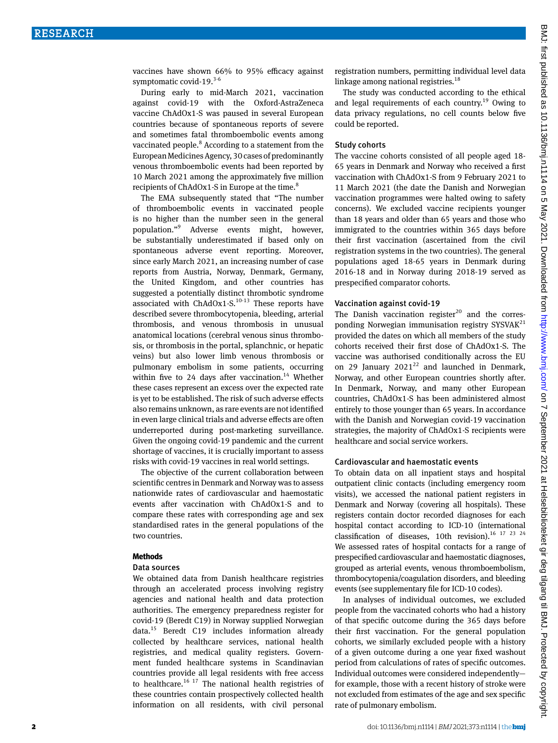vaccines have shown 66% to 95% efficacy against symptomatic covid-19. $3-6$ 

During early to mid-March 2021, vaccination against covid-19 with the Oxford-AstraZeneca vaccine ChAdOx1-S was paused in several European countries because of spontaneous reports of severe and sometimes fatal thromboembolic events among vaccinated people.<sup>8</sup> According to a statement from the European Medicines Agency, 30 cases of predominantly venous thromboembolic events had been reported by 10 March 2021 among the approximately five million recipients of  $ChAdOx1-S$  in Europe at the time.<sup>8</sup>

The EMA subsequently stated that "The number of thromboembolic events in vaccinated people is no higher than the number seen in the general population."<sup>9</sup> Adverse events might, however, be substantially underestimated if based only on spontaneous adverse event reporting. Moreover, since early March 2021, an increasing number of case reports from Austria, Norway, Denmark, Germany, the United Kingdom, and other countries has suggested a potentially distinct thrombotic syndrome associated with  $ChAdOx1-S$ .<sup>10-13</sup> These reports have described severe thrombocytopenia, bleeding, arterial thrombosis, and venous thrombosis in unusual anatomical locations (cerebral venous sinus thrombosis, or thrombosis in the portal, splanchnic, or hepatic veins) but also lower limb venous thrombosis or pulmonary embolism in some patients, occurring within five to 24 days after vaccination.<sup>14</sup> Whether these cases represent an excess over the expected rate is yet to be established. The risk of such adverse effects also remains unknown, as rare events are not identified in even large clinical trials and adverse effects are often underreported during post-marketing surveillance. Given the ongoing covid-19 pandemic and the current shortage of vaccines, it is crucially important to assess risks with covid-19 vaccines in real world settings.

The objective of the current collaboration between scientific centres in Denmark and Norway was to assess nationwide rates of cardiovascular and haemostatic events after vaccination with ChAdOx1-S and to compare these rates with corresponding age and sex standardised rates in the general populations of the two countries.

#### **Methods**

#### Data sources

We obtained data from Danish healthcare registries through an accelerated process involving registry agencies and national health and data protection authorities. The emergency preparedness register for covid-19 (Beredt C19) in Norway supplied Norwegian data.15 Beredt C19 includes information already collected by healthcare services, national health registries, and medical quality registers. Government funded healthcare systems in Scandinavian countries provide all legal residents with free access to healthcare.<sup>16 17</sup> The national health registries of these countries contain prospectively collected health information on all residents, with civil personal

registration numbers, permitting individual level data linkage among national registries.<sup>18</sup>

The study was conducted according to the ethical and legal requirements of each country.19 Owing to data privacy regulations, no cell counts below five could be reported.

#### Study cohorts

The vaccine cohorts consisted of all people aged 18- 65 years in Denmark and Norway who received a first vaccination with ChAdOx1-S from 9 February 2021 to 11 March 2021 (the date the Danish and Norwegian vaccination programmes were halted owing to safety concerns). We excluded vaccine recipients younger than 18 years and older than 65 years and those who immigrated to the countries within 365 days before their first vaccination (ascertained from the civil registration systems in the two countries). The general populations aged 18-65 years in Denmark during 2016-18 and in Norway during 2018-19 served as prespecified comparator cohorts.

#### Vaccination against covid-19

The Danish vaccination register<sup>20</sup> and the corresponding Norwegian immunisation registry  $SYSVAK^{21}$ provided the dates on which all members of the study cohorts received their first dose of ChAdOx1-S. The vaccine was authorised conditionally across the EU on 29 January  $2021^{22}$  and launched in Denmark, Norway, and other European countries shortly after. In Denmark, Norway, and many other European countries, ChAdOx1-S has been administered almost entirely to those younger than 65 years. In accordance with the Danish and Norwegian covid-19 vaccination strategies, the majority of ChAdOx1-S recipients were healthcare and social service workers.

#### Cardiovascular and haemostatic events

To obtain data on all inpatient stays and hospital outpatient clinic contacts (including emergency room visits), we accessed the national patient registers in Denmark and Norway (covering all hospitals). These registers contain doctor recorded diagnoses for each hospital contact according to ICD-10 (international classification of diseases, 10th revision).<sup>16 17 23 24</sup> We assessed rates of hospital contacts for a range of prespecified cardiovascular and haemostatic diagnoses, grouped as arterial events, venous thromboembolism, thrombocytopenia/coagulation disorders, and bleeding events (see supplementary file for ICD-10 codes).

In analyses of individual outcomes, we excluded people from the vaccinated cohorts who had a history of that specific outcome during the 365 days before their first vaccination. For the general population cohorts, we similarly excluded people with a history of a given outcome during a one year fixed washout period from calculations of rates of specific outcomes. Individual outcomes were considered independently for example, those with a recent history of stroke were not excluded from estimates of the age and sex specific rate of pulmonary embolism.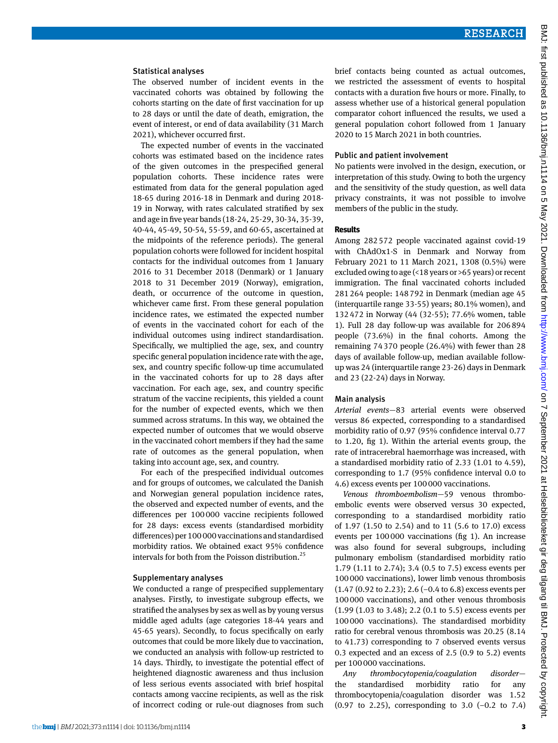#### Statistical analyses

The observed number of incident events in the vaccinated cohorts was obtained by following the cohorts starting on the date of first vaccination for up to 28 days or until the date of death, emigration, the event of interest, or end of data availability (31 March 2021), whichever occurred first.

The expected number of events in the vaccinated cohorts was estimated based on the incidence rates of the given outcomes in the prespecified general population cohorts. These incidence rates were estimated from data for the general population aged 18-65 during 2016-18 in Denmark and during 2018- 19 in Norway, with rates calculated stratified by sex and age in five year bands (18-24, 25-29, 30-34, 35-39, 40-44, 45-49, 50-54, 55-59, and 60-65, ascertained at the midpoints of the reference periods). The general population cohorts were followed for incident hospital contacts for the individual outcomes from 1 January 2016 to 31 December 2018 (Denmark) or 1 January 2018 to 31 December 2019 (Norway), emigration, death, or occurrence of the outcome in question, whichever came first. From these general population incidence rates, we estimated the expected number of events in the vaccinated cohort for each of the individual outcomes using indirect standardisation. Specifically, we multiplied the age, sex, and country specific general population incidence rate with the age, sex, and country specific follow-up time accumulated in the vaccinated cohorts for up to 28 days after vaccination. For each age, sex, and country specific stratum of the vaccine recipients, this yielded a count for the number of expected events, which we then summed across stratums. In this way, we obtained the expected number of outcomes that we would observe in the vaccinated cohort members if they had the same rate of outcomes as the general population, when taking into account age, sex, and country.

For each of the prespecified individual outcomes and for groups of outcomes, we calculated the Danish and Norwegian general population incidence rates, the observed and expected number of events, and the differences per 100000 vaccine recipients followed for 28 days: excess events (standardised morbidity differences) per 100 000 vaccinations and standardised morbidity ratios. We obtained exact 95% confidence intervals for both from the Poisson distribution.<sup>25</sup>

#### Supplementary analyses

We conducted a range of prespecified supplementary analyses. Firstly, to investigate subgroup effects, we stratified the analyses by sex as well as by young versus middle aged adults (age categories 18-44 years and 45-65 years). Secondly, to focus specifically on early outcomes that could be more likely due to vaccination, we conducted an analysis with follow-up restricted to 14 days. Thirdly, to investigate the potential effect of heightened diagnostic awareness and thus inclusion of less serious events associated with brief hospital contacts among vaccine recipients, as well as the risk of incorrect coding or rule-out diagnoses from such

brief contacts being counted as actual outcomes, we restricted the assessment of events to hospital contacts with a duration five hours or more. Finally, to assess whether use of a historical general population comparator cohort influenced the results, we used a general population cohort followed from 1 January 2020 to 15 March 2021 in both countries.

#### Public and patient involvement

No patients were involved in the design, execution, or interpretation of this study. Owing to both the urgency and the sensitivity of the study question, as well data privacy constraints, it was not possible to involve members of the public in the study.

#### **Results**

Among 282572 people vaccinated against covid-19 with ChAdOx1-S in Denmark and Norway from February 2021 to 11 March 2021, 1308 (0.5%) were excluded owing to age (<18 years or >65 years) or recent immigration. The final vaccinated cohorts included 281264 people: 148792 in Denmark (median age 45 (interquartile range 33-55) years; 80.1% women), and 132472 in Norway (44 (32-55); 77.6% women, table 1). Full 28 day follow-up was available for 206894 people (73.6%) in the final cohorts. Among the remaining 74370 people (26.4%) with fewer than 28 days of available follow-up, median available followup was 24 (interquartile range 23-26) days in Denmark and 23 (22-24) days in Norway.

#### Main analysis

*Arterial events*—83 arterial events were observed versus 86 expected, corresponding to a standardised morbidity ratio of 0.97 (95% confidence interval 0.77 to 1.20, fig 1). Within the arterial events group, the rate of intracerebral haemorrhage was increased, with a standardised morbidity ratio of 2.33 (1.01 to 4.59), corresponding to 1.7 (95% confidence interval 0.0 to 4.6) excess events per 100000 vaccinations.

*Venous thromboembolism*—59 venous thromboembolic events were observed versus 30 expected, corresponding to a standardised morbidity ratio of 1.97 (1.50 to 2.54) and to 11 (5.6 to 17.0) excess events per 100000 vaccinations (fig 1). An increase was also found for several subgroups, including pulmonary embolism (standardised morbidity ratio 1.79 (1.11 to 2.74); 3.4 (0.5 to 7.5) excess events per 100000 vaccinations), lower limb venous thrombosis (1.47 (0.92 to 2.23); 2.6 (−0.4 to 6.8) excess events per 100000 vaccinations), and other venous thrombosis (1.99 (1.03 to 3.48); 2.2 (0.1 to 5.5) excess events per 100000 vaccinations). The standardised morbidity ratio for cerebral venous thrombosis was 20.25 (8.14 to 41.73) corresponding to 7 observed events versus 0.3 expected and an excess of 2.5 (0.9 to 5.2) events per 100000 vaccinations.

*Any thrombocytopenia/coagulation disorder* the standardised morbidity ratio for any thrombocytopenia/coagulation disorder was 1.52 (0.97 to 2.25), corresponding to 3.0 (−0.2 to 7.4)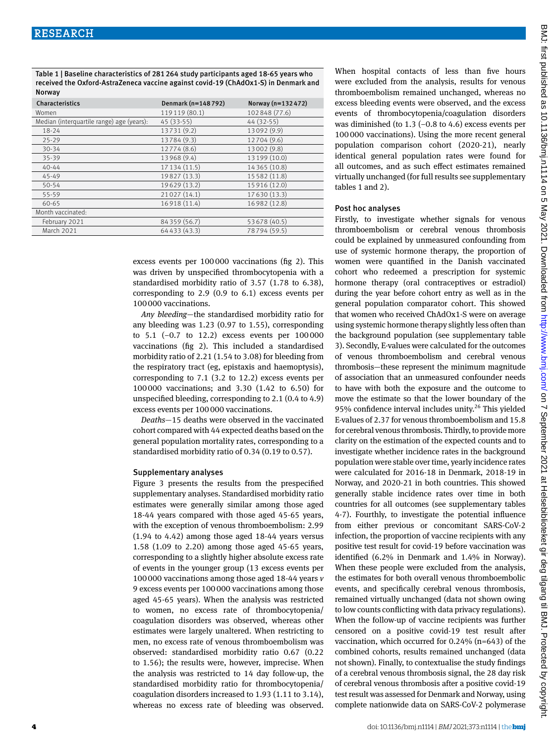Table 1 | Baseline characteristics of 281264 study participants aged 18-65 years who received the Oxford-AstraZeneca vaccine against covid-19 (ChAdOx1-S) in Denmark and Norway

| Characteristics                           | Denmark (n=148792) | Norway (n=132472) |
|-------------------------------------------|--------------------|-------------------|
| Women                                     | 119119 (80.1)      | 102848 (77.6)     |
| Median (interquartile range) age (years): | 45 (33-55)         | 44 (32-55)        |
| $18 - 24$                                 | 13731 (9.2)        | 13092 (9.9)       |
| $25 - 29$                                 | 13784 (9.3)        | 12704 (9.6)       |
| $30 - 34$                                 | 12774 (8.6)        | 13002 (9.8)       |
| 35-39                                     | 13968 (9.4)        | 13 199 (10.0)     |
| $40 - 44$                                 | 17 134 (11.5)      | 14 365 (10.8)     |
| 45-49                                     | 19827 (13.3)       | 15 582 (11.8)     |
| $50 - 54$                                 | 19629 (13.2)       | 15 916 (12.0)     |
| 55-59                                     | 21027 (14.1)       | 17 630 (13.3)     |
| 60-65                                     | 16918 (11.4)       | 16 982 (12.8)     |
| Month vaccinated:                         |                    |                   |
| February 2021                             | 84 359 (56.7)      | 53 678 (40.5)     |
| March 2021                                | 64433 (43.3)       | 78794 (59.5)      |

When hospital contacts of less than five hours were excluded from the analysis, results for venous thromboembolism remained unchanged, whereas no excess bleeding events were observed, and the excess events of thrombocytopenia/coagulation disorders was diminished (to  $1.3$  (-0.8 to  $4.6$ ) excess events per 100000 vaccinations). Using the more recent general population comparison cohort (2020-21), nearly identical general population rates were found for all outcomes, and as such effect estimates remained virtually unchanged (for full results see supplementary tables 1 and 2).

#### Post hoc analyses

Firstly, to investigate whether signals for venous thromboembolism or cerebral venous thrombosis could be explained by unmeasured confounding from use of systemic hormone therapy, the proportion of women were quantified in the Danish vaccinated cohort who redeemed a prescription for systemic hormone therapy (oral contraceptives or estradiol) during the year before cohort entry as well as in the general population comparator cohort. This showed that women who received ChAdOx1-S were on average using systemic hormone therapy slightly less often than the background population (see supplementary table 3). Secondly, E-values were calculated for the outcomes of venous thromboembolism and cerebral venous thrombosis—these represent the minimum magnitude of association that an unmeasured confounder needs to have with both the exposure and the outcome to move the estimate so that the lower boundary of the 95% confidence interval includes unity.<sup>26</sup> This vielded E-values of 2.37 for venous thromboembolism and 15.8 for cerebral venous thrombosis. Thirdly, to provide more clarity on the estimation of the expected counts and to investigate whether incidence rates in the background population were stable over time, yearly incidence rates were calculated for 2016-18 in Denmark, 2018-19 in Norway, and 2020-21 in both countries. This showed generally stable incidence rates over time in both countries for all outcomes (see supplementary tables 4-7). Fourthly, to investigate the potential influence from either previous or concomitant SARS-CoV-2 infection, the proportion of vaccine recipients with any positive test result for covid-19 before vaccination was identified (6.2% in Denmark and 1.4% in Norway). When these people were excluded from the analysis, the estimates for both overall venous thromboembolic events, and specifically cerebral venous thrombosis, remained virtually unchanged (data not shown owing to low counts conflicting with data privacy regulations). When the follow-up of vaccine recipients was further censored on a positive covid-19 test result after vaccination, which occurred for 0.24% (n=643) of the combined cohorts, results remained unchanged (data not shown). Finally, to contextualise the study findings of a cerebral venous thrombosis signal, the 28 day risk of cerebral venous thrombosis after a positive covid-19 test result was assessed for Denmark and Norway, using complete nationwide data on SARS-CoV-2 polymerase

excess events per 100000 vaccinations (fig 2). This was driven by unspecified thrombocytopenia with a standardised morbidity ratio of 3.57 (1.78 to 6.38), corresponding to 2.9 (0.9 to 6.1) excess events per 100000 vaccinations.

*Any bleeding*—the standardised morbidity ratio for any bleeding was 1.23 (0.97 to 1.55), corresponding to 5.1 (−0.7 to 12.2) excess events per 100000 vaccinations (fig 2). This included a standardised morbidity ratio of 2.21 (1.54 to 3.08) for bleeding from the respiratory tract (eg, epistaxis and haemoptysis), corresponding to 7.1 (3.2 to 12.2) excess events per 100000 vaccinations; and 3.30 (1.42 to 6.50) for unspecified bleeding, corresponding to 2.1 (0.4 to 4.9) excess events per 100000 vaccinations.

*Deaths*—15 deaths were observed in the vaccinated cohort compared with 44 expected deaths based on the general population mortality rates, corresponding to a standardised morbidity ratio of 0.34 (0.19 to 0.57).

#### Supplementary analyses

Figure 3 presents the results from the prespecified supplementary analyses. Standardised morbidity ratio estimates were generally similar among those aged 18-44 years compared with those aged 45-65 years, with the exception of venous thromboembolism: 2.99 (1.94 to 4.42) among those aged 18-44 years versus 1.58 (1.09 to 2.20) among those aged 45-65 years, corresponding to a slightly higher absolute excess rate of events in the younger group (13 excess events per 100000 vaccinations among those aged 18-44 years *v* 9 excess events per 100000 vaccinations among those aged 45-65 years). When the analysis was restricted to women, no excess rate of thrombocytopenia/ coagulation disorders was observed, whereas other estimates were largely unaltered. When restricting to men, no excess rate of venous thromboembolism was observed: standardised morbidity ratio 0.67 (0.22 to 1.56); the results were, however, imprecise. When the analysis was restricted to 14 day follow-up, the standardised morbidity ratio for thrombocytopenia/ coagulation disorders increased to 1.93 (1.11 to 3.14), whereas no excess rate of bleeding was observed.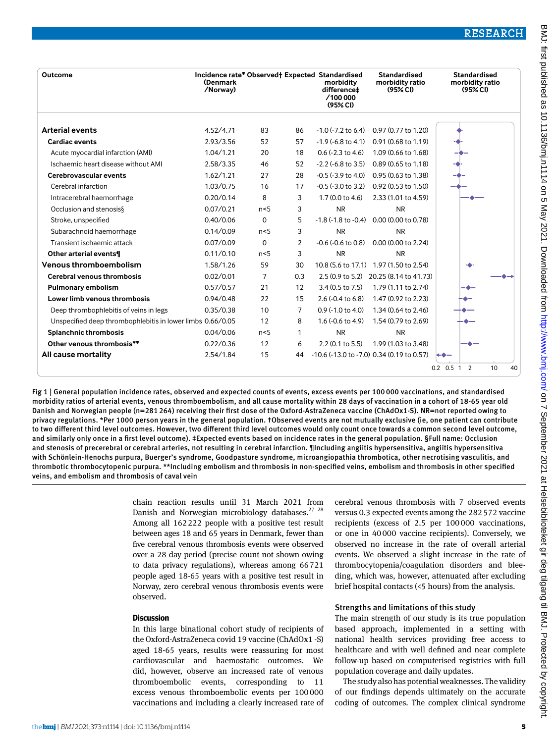|                                                            |           |                |                | (95% CI)                   |                                                   |                   |
|------------------------------------------------------------|-----------|----------------|----------------|----------------------------|---------------------------------------------------|-------------------|
| <b>Arterial events</b>                                     | 4.52/4.71 | 83             | 86             | $-1.0$ ( $-7.2$ to 6.4)    | 0.97 (0.77 to 1.20)                               |                   |
| <b>Cardiac events</b>                                      | 2.93/3.56 | 52             | 57             | $-1.9$ ( $-6.8$ to 4.1)    | 0.91 (0.68 to 1.19)                               |                   |
| Acute myocardial infarction (AMI)                          | 1.04/1.21 | 20             | 18             | $0.6$ (-2.3 to 4.6)        | 1.09 (0.66 to 1.68)                               |                   |
| Ischaemic heart disease without AMI                        | 2.58/3.35 | 46             | 52             | $-2.2$ ( $-6.8$ to 3.5)    | 0.89 (0.65 to 1.18)                               |                   |
| Cerebrovascular events                                     | 1.62/1.21 | 27             | 28             | $-0.5$ ( $-3.9$ to $4.0$ ) | 0.95 (0.63 to 1.38)                               |                   |
| Cerebral infarction                                        | 1.03/0.75 | 16             | 17             | $-0.5$ ( $-3.0$ to 3.2)    | 0.92 (0.53 to 1.50)                               |                   |
| Intracerebral haemorrhage                                  | 0.20/0.14 | 8              | 3              | 1.7(0.0 to 4.6)            | 2.33 (1.01 to 4.59)                               |                   |
| Occlusion and stenosis &                                   | 0.07/0.21 | n<5            | 3              | <b>NR</b>                  | <b>NR</b>                                         |                   |
| Stroke, unspecified                                        | 0.40/0.06 | $\Omega$       | 5              |                            | $-1.8$ ( $-1.8$ to $-0.4$ ) 0.00 (0.00 to 0.78)   |                   |
| Subarachnoid haemorrhage                                   | 0.14/0.09 | n<5            | 3              | <b>NR</b>                  | <b>NR</b>                                         |                   |
| Transient ischaemic attack                                 | 0.07/0.09 | $\Omega$       | $\overline{2}$ | $-0.6$ ( $-0.6$ to $0.8$ ) | 0.00 (0.00 to 2.24)                               |                   |
| Other arterial events¶                                     | 0.11/0.10 | n<5            | 3              | <b>NR</b>                  | <b>NR</b>                                         |                   |
| <b>Venous thromboembolism</b>                              | 1.58/1.26 | 59             | 30             |                            | 10.8 (5.6 to 17.1) 1.97 (1.50 to 2.54)            |                   |
| <b>Cerebral venous thrombosis</b>                          | 0.02/0.01 | $\overline{7}$ | 0.3            |                            | 2.5 (0.9 to 5.2) 20.25 (8.14 to 41.73)            |                   |
| Pulmonary embolism                                         | 0.57/0.57 | 21             | 12             | $3.4(0.5 \text{ to } 7.5)$ | 1.79 (1.11 to 2.74)                               |                   |
| Lower limb venous thrombosis                               | 0.94/0.48 | 22             | 15             | $2.6 (-0.4 to 6.8)$        | 1.47 (0.92 to 2.23)                               |                   |
| Deep thrombophlebitis of veins in legs                     | 0.35/0.38 | 10             | 7              | $0.9$ (-1.0 to 4.0)        | 1.34 (0.64 to 2.46)                               |                   |
| Unspecified deep thrombophlebitis in lower limbs 0.66/0.05 |           | 12             | 8              | $1.6$ (-0.6 to 4.9)        | 1.54 (0.79 to 2.69)                               |                   |
| <b>Splanchnic thrombosis</b>                               | 0.04/0.06 | n<5            | 1              | <b>NR</b>                  | <b>NR</b>                                         |                   |
| Other venous thrombosis**                                  | 0.22/0.36 | 12             | 6              | 2.2 (0.1 to 5.5)           | 1.99 (1.03 to 3.48)                               |                   |
| All cause mortality                                        | 2.54/1.84 | 15             | 44             |                            | $-10.6$ ( $-13.0$ to $-7.0$ ) 0.34 (0.19 to 0.57) | $+$ $\bullet$ $-$ |

Fig 1 | General population incidence rates, observed and expected counts of events, excess events per 100 000 vaccinations, and standardised morbidity ratios of arterial events, venous thromboembolism, and all cause mortality within 28 days of vaccination in a cohort of 18-65 year old Danish and Norwegian people (n=281 264) receiving their first dose of the Oxford-AstraZeneca vaccine (ChAdOx1-S). NR=not reported owing to privacy regulations. \*Per 1000 person years in the general population. †Observed events are not mutually exclusive (ie, one patient can contribute to two different third level outcomes. However, two different third level outcomes would only count once towards a common second level outcome, and similarly only once in a first level outcome). ‡Expected events based on incidence rates in the general population. §Full name: Occlusion and stenosis of precerebral or cerebral arteries, not resulting in cerebral infarction. ¶Including angiitis hypersensitiva, angiitis hypersensitiva with Schönlein-Henochs purpura, Buerger's syndrome, Goodpasture syndrome, microangiopathia thrombotica, other necrotising vasculitis, and thrombotic thrombocytopenic purpura. \*\*Including embolism and thrombosis in non-specified veins, embolism and thrombosis in other specified veins, and embolism and thrombosis of caval vein

> chain reaction results until 31 March 2021 from Danish and Norwegian microbiology databases.<sup>27</sup> <sup>28</sup> Among all 162222 people with a positive test result between ages 18 and 65 years in Denmark, fewer than five cerebral venous thrombosis events were observed over a 28 day period (precise count not shown owing to data privacy regulations), whereas among 66721 people aged 18-65 years with a positive test result in Norway, zero cerebral venous thrombosis events were observed.

#### **Discussion**

In this large binational cohort study of recipients of the Oxford-AstraZeneca covid 19 vaccine (ChAdOx1 -S) aged 18-65 years, results were reassuring for most cardiovascular and haemostatic outcomes. We did, however, observe an increased rate of venous thromboembolic events, corresponding to 11 excess venous thromboembolic events per 100000 vaccinations and including a clearly increased rate of cerebral venous thrombosis with 7 observed events versus 0.3 expected events among the 282572 vaccine recipients (excess of 2.5 per 100000 vaccinations, or one in 40000 vaccine recipients). Conversely, we observed no increase in the rate of overall arterial events. We observed a slight increase in the rate of thrombocytopenia/coagulation disorders and bleeding, which was, however, attenuated after excluding brief hospital contacts (<5 hours) from the analysis.

#### Strengths and limitations of this study

The main strength of our study is its true population based approach, implemented in a setting with national health services providing free access to healthcare and with well defined and near complete follow-up based on computerised registries with full population coverage and daily updates.

The study also has potential weaknesses. The validity of our findings depends ultimately on the accurate coding of outcomes. The complex clinical syndrome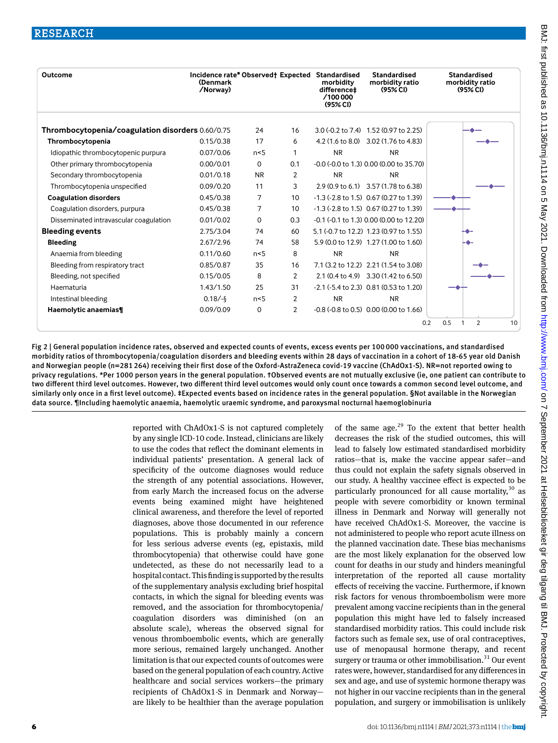| Outcome                                          | Incidence rate* Observed† Expected Standardised<br>(Denmark<br>/Norway) |           |                | morbidity<br>difference‡<br>/100 000<br>(95% <sub>C</sub> ) | <b>Standardised</b><br>morbidity ratio<br>(95% <sub>C</sub> ) | Standardised<br>morbidity ratio<br>(95% <sub>C</sub> ) |
|--------------------------------------------------|-------------------------------------------------------------------------|-----------|----------------|-------------------------------------------------------------|---------------------------------------------------------------|--------------------------------------------------------|
| Thrombocytopenia/coagulation disorders 0.60/0.75 |                                                                         | 24        | 16             |                                                             | 3.0 (-0.2 to 7.4) 1.52 (0.97 to 2.25)                         |                                                        |
| Thrombocytopenia                                 | 0.15/0.38                                                               | 17        | 6              |                                                             | 4.2 (1.6 to 8.0) 3.02 (1.76 to 4.83)                          |                                                        |
| Idiopathic thrombocytopenic purpura              | 0.07/0.06                                                               | n<5       | 1              | <b>NR</b>                                                   | <b>NR</b>                                                     |                                                        |
| Other primary thrombocytopenia                   | 0.00/0.01                                                               | $\Omega$  | 0.1            |                                                             | $-0.0$ ( $-0.0$ to 1.3) 0.00 (0.00 to 35.70)                  |                                                        |
| Secondary thrombocytopenia                       | 0.01/0.18                                                               | <b>NR</b> | 2              | <b>NR</b>                                                   | <b>NR</b>                                                     |                                                        |
| Thrombocytopenia unspecified                     | 0.09/0.20                                                               | 11        | 3              |                                                             | 2.9 (0.9 to 6.1) 3.57 (1.78 to 6.38)                          |                                                        |
| <b>Coagulation disorders</b>                     | 0.45/0.38                                                               | 7         | 10             |                                                             | $-1.3$ ( $-2.8$ to 1.5) 0.67 (0.27 to 1.39)                   |                                                        |
| Coagulation disorders, purpura                   | 0.45/0.38                                                               | 7         | 10             |                                                             | $-1.3$ ( $-2.8$ to 1.5) 0.67 (0.27 to 1.39)                   |                                                        |
| Disseminated intravascular coagulation           | 0.01/0.02                                                               | $\Omega$  | 0.3            |                                                             | -0.1 (-0.1 to 1.3) 0.00 (0.00 to 12.20)                       |                                                        |
| <b>Bleeding events</b>                           | 2.75/3.04                                                               | 74        | 60             |                                                             | 5.1 (-0.7 to 12.2) 1.23 (0.97 to 1.55)                        |                                                        |
| Bleeding                                         | 2.67/2.96                                                               | 74        | 58             |                                                             | 5.9 (0.0 to 12.9) 1.27 (1.00 to 1.60)                         |                                                        |
| Anaemia from bleeding                            | 0.11/0.60                                                               | n<5       | 8              | <b>NR</b>                                                   | <b>NR</b>                                                     |                                                        |
| Bleeding from respiratory tract                  | 0.85/0.87                                                               | 35        | 16             |                                                             | 7.1 (3.2 to 12.2) 2.21 (1.54 to 3.08)                         |                                                        |
| Bleeding, not specified                          | 0.15/0.05                                                               | 8         | $\overline{2}$ |                                                             | 2.1 (0.4 to 4.9) 3.30 (1.42 to 6.50)                          |                                                        |
| Haematuria                                       | 1.43/1.50                                                               | 25        | 31             |                                                             | $-2.1$ ( $-5.4$ to 2.3) 0.81 (0.53 to 1.20)                   |                                                        |
| Intestinal bleeding                              | $0.18/-$ §                                                              | n<5       | 2              | <b>NR</b>                                                   | <b>NR</b>                                                     |                                                        |
| Haemolytic anaemias¶                             | 0.09/0.09                                                               | 0         | $\overline{2}$ |                                                             | $-0.8$ ( $-0.8$ to 0.5) 0.00 (0.00 to 1.66)                   | 10                                                     |
|                                                  |                                                                         |           |                |                                                             |                                                               | 0.5<br>2<br>0.2                                        |

Fig 2 | General population incidence rates, observed and expected counts of events, excess events per 100 000 vaccinations, and standardised morbidity ratios of thrombocytopenia/coagulation disorders and bleeding events within 28 days of vaccination in a cohort of 18-65 year old Danish and Norwegian people (n=281 264) receiving their first dose of the Oxford-AstraZeneca covid-19 vaccine (ChAdOx1-S). NR=not reported owing to privacy regulations. \*Per 1000 person years in the general population. †Observed events are not mutually exclusive (ie, one patient can contribute to two different third level outcomes. However, two different third level outcomes would only count once towards a common second level outcome, and similarly only once in a first level outcome). ‡Expected events based on incidence rates in the general population. §Not available in the Norwegian data source. ¶Including haemolytic anaemia, haemolytic uraemic syndrome, and paroxysmal nocturnal haemoglobinuria

> reported with ChAdOx1-S is not captured completely by any single ICD-10 code. Instead, clinicians are likely to use the codes that reflect the dominant elements in individual patients' presentation. A general lack of specificity of the outcome diagnoses would reduce the strength of any potential associations. However, from early March the increased focus on the adverse events being examined might have heightened clinical awareness, and therefore the level of reported diagnoses, above those documented in our reference populations. This is probably mainly a concern for less serious adverse events (eg, epistaxis, mild thrombocytopenia) that otherwise could have gone undetected, as these do not necessarily lead to a hospital contact. This finding is supported by the results of the supplementary analysis excluding brief hospital contacts, in which the signal for bleeding events was removed, and the association for thrombocytopenia/ coagulation disorders was diminished (on an absolute scale), whereas the observed signal for venous thromboembolic events, which are generally more serious, remained largely unchanged. Another limitation is that our expected counts of outcomes were based on the general population of each country. Active healthcare and social services workers—the primary recipients of ChAdOx1-S in Denmark and Norway are likely to be healthier than the average population

of the same age. $29$  To the extent that better health decreases the risk of the studied outcomes, this will lead to falsely low estimated standardised morbidity ratios—that is, make the vaccine appear safer—and thus could not explain the safety signals observed in our study. A healthy vaccinee effect is expected to be particularly pronounced for all cause mortality,  $30$  as people with severe comorbidity or known terminal illness in Denmark and Norway will generally not have received ChAdOx1-S. Moreover, the vaccine is not administered to people who report acute illness on the planned vaccination date. These bias mechanisms are the most likely explanation for the observed low count for deaths in our study and hinders meaningful interpretation of the reported all cause mortality effects of receiving the vaccine. Furthermore, if known risk factors for venous thromboembolism were more prevalent among vaccine recipients than in the general population this might have led to falsely increased standardised morbidity ratios. This could include risk factors such as female sex, use of oral contraceptives, use of menopausal hormone therapy, and recent surgery or trauma or other immobilisation. $31$  Our event rates were, however, standardised for any differences in sex and age, and use of systemic hormone therapy was not higher in our vaccine recipients than in the general population, and surgery or immobilisation is unlikely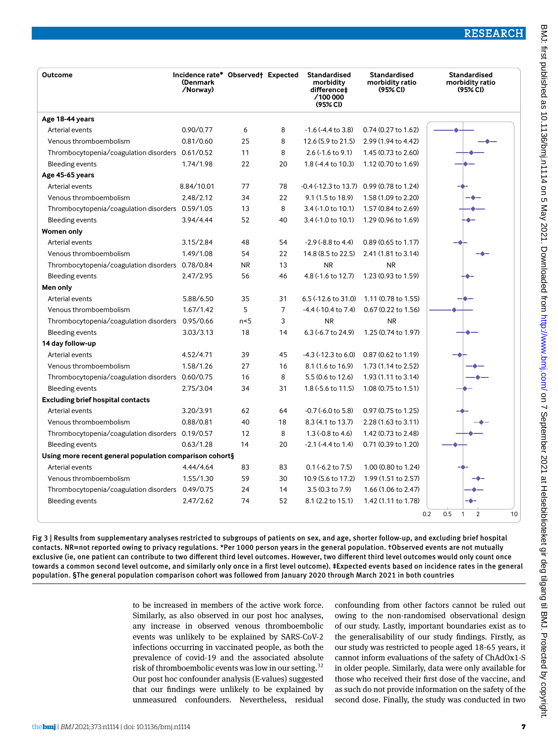RESEARCH

| Outcome                                                 | Incidence rate* Observed† Expected<br>(Denmark<br>/Norway) |                |                | Standardised<br>morbidity<br>difference‡<br>/100000<br>(95% <sub>C</sub> ) | <b>Standardised</b><br>morbidity ratio<br>(95% <sub>C</sub> ) | <b>Standardised</b><br>morbidity ratio<br>(95% C) |
|---------------------------------------------------------|------------------------------------------------------------|----------------|----------------|----------------------------------------------------------------------------|---------------------------------------------------------------|---------------------------------------------------|
| Age 18-44 years                                         |                                                            |                |                |                                                                            |                                                               |                                                   |
| Arterial events                                         | 0.90/0.77                                                  | 6              | 8              | $-1.6$ ( $-4.4$ to 3.8)                                                    | 0.74 (0.27 to 1.62)                                           |                                                   |
| Venous thromboembolism                                  | 0.81/0.60                                                  | 25             | 8              | 12.6 (5.9 to 21.5)                                                         | 2.99 (1.94 to 4.42)                                           |                                                   |
| Thrombocytopenia/coagulation disorders 0.61/0.52        |                                                            | 11             | 8              | $2.6$ ( $-1.6$ to $9.1$ )                                                  | 1.45 (0.73 to 2.60)                                           |                                                   |
| Bleeding events                                         | 1.74/1.98                                                  | 22             | 20             | 1.8 (-4.4 to 10.3)                                                         | 1.12 (0.70 to 1.69)                                           |                                                   |
| Age 45-65 years                                         |                                                            |                |                |                                                                            |                                                               |                                                   |
| Arterial events                                         | 8.84/10.01                                                 | 77             | 78             |                                                                            | -0.4 (-12.3 to 13.7) 0.99 (0.78 to 1.24)                      |                                                   |
| Venous thromboembolism                                  | 2.48/2.12                                                  | 34             | 22             | 9.1 (1.5 to 18.9)                                                          | 1.58 (1.09 to 2.20)                                           |                                                   |
| Thrombocytopenia/coagulation disorders 0.59/1.05        |                                                            | 13             | 8              | 3.4 (-1.0 to 10.1)                                                         | 1.57 (0.84 to 2.69)                                           |                                                   |
| <b>Bleeding events</b>                                  | 3.94/4.44                                                  | 52             | 40             | 3.4 (-1.0 to 10.1)                                                         | 1.29 (0.96 to 1.69)                                           |                                                   |
| <b>Women only</b>                                       |                                                            |                |                |                                                                            |                                                               |                                                   |
| Arterial events                                         | 3.15/2.84                                                  | 48             | 54             | $-2.9$ ( $-8.8$ to 4.4)                                                    | 0.89 (0.65 to 1.17)                                           |                                                   |
| Venous thromboembolism                                  | 1.49/1.08                                                  | 54             | 22             | 14.8 (8.5 to 22.5)                                                         | 2.41 (1.81 to 3.14)                                           |                                                   |
| Thrombocytopenia/coagulation disorders 0.78/0.84        |                                                            | <b>NR</b>      | 13             | <b>NR</b>                                                                  | <b>NR</b>                                                     |                                                   |
| <b>Bleeding events</b>                                  | 2.47/2.95                                                  | 56             | 46             | 4.8 (-1.6 to 12.7)                                                         | 1.23 (0.93 to 1.59)                                           |                                                   |
| Men only                                                |                                                            |                |                |                                                                            |                                                               |                                                   |
| Arterial events                                         | 5.88/6.50                                                  | 35             | 31             | 6.5 (-12.6 to 31.0)                                                        | 1.11 (0.78 to 1.55)                                           |                                                   |
| Venous thromboembolism                                  | 1.67/1.42                                                  | 5              | $\overline{7}$ | $-4.4$ ( $-10.4$ to $7.4$ )                                                | 0.67 (0.22 to 1.56)                                           |                                                   |
| Thrombocytopenia/coagulation disorders 0.95/0.66        |                                                            | n <sub>5</sub> | 3              | <b>NR</b>                                                                  | <b>NR</b>                                                     |                                                   |
| <b>Bleeding events</b>                                  | 3.03/3.13                                                  | 18             | 14             | 6.3 (-6.7 to 24.9)                                                         | 1.25 (0.74 to 1.97)                                           |                                                   |
| 14 day follow-up                                        |                                                            |                |                |                                                                            |                                                               |                                                   |
| Arterial events                                         | 4.52/4.71                                                  | 39             | 45             | $-4.3$ ( $-12.3$ to 6.0)                                                   | 0.87 (0.62 to 1.19)                                           |                                                   |
| Venous thromboembolism                                  | 1.58/1.26                                                  | 27             | 16             | 8.1 (1.6 to 16.9)                                                          | 1.73 (1.14 to 2.52)                                           |                                                   |
| Thrombocytopenia/coagulation disorders 0.60/0.75        |                                                            | 16             | 8              | 5.5 (0.6 to 12.6)                                                          | 1.93 (1.11 to 3.14)                                           |                                                   |
| <b>Bleeding events</b>                                  | 2.75/3.04                                                  | 34             | 31             | 1.8 (-5.6 to 11.5)                                                         | 1.08 (0.75 to 1.51)                                           |                                                   |
| <b>Excluding brief hospital contacts</b>                |                                                            |                |                |                                                                            |                                                               |                                                   |
| Arterial events                                         | 3.20/3.91                                                  | 62             | 64             | $-0.7$ ( $-6.0$ to 5.8)                                                    | 0.97 (0.75 to 1.25)                                           |                                                   |
| Venous thromboembolism                                  | 0.88/0.81                                                  | 40             | 18             | 8.3 (4.1 to 13.7)                                                          | 2.28 (1.63 to 3.11)                                           |                                                   |
| Thrombocytopenia/coagulation disorders 0.19/0.57        |                                                            | 12             | 8              | 1.3 (-0.8 to 4.6)                                                          | 1.42 (0.73 to 2.48)                                           |                                                   |
| <b>Bleeding events</b>                                  | 0.63/1.28                                                  | 14             | 20             | $-2.1$ ( $-4.4$ to 1.4)                                                    | 0.71 (0.39 to 1.20)                                           |                                                   |
| Using more recent general population comparison cohort§ |                                                            |                |                |                                                                            |                                                               |                                                   |
| Arterial events                                         | 4.44/4.64                                                  | 83             | 83             | 0.1 (-6.2 to 7.5)                                                          | 1.00 (0.80 to 1.24)                                           |                                                   |
| Venous thromboembolism                                  | 1.55/1.30                                                  | 59             | 30             | 10.9 (5.6 to 17.2)                                                         | 1.99 (1.51 to 2.57)                                           |                                                   |
| Thrombocytopenia/coagulation disorders 0.49/0.75        |                                                            | 24             | 14             | 3.5 (0.3 to 7.9)                                                           | 1.66 (1.06 to 2.47)                                           |                                                   |
| <b>Bleeding events</b>                                  | 2.47/2.62                                                  | 74             | 52             | 8.1 (2.2 to 15.1)                                                          | 1.42 (1.11 to 1.78)                                           |                                                   |
|                                                         |                                                            |                |                |                                                                            | 0.2                                                           | 0.5<br>$\overline{2}$<br>10<br>1                  |

Fig 3 | Results from supplementary analyses restricted to subgroups of patients on sex, and age, shorter follow-up, and excluding brief hospital contacts. NR=not reported owing to privacy regulations. \*Per 1000 person years in the general population. †Observed events are not mutually exclusive (ie, one patient can contribute to two different third level outcomes. However, two different third level outcomes would only count once towards a common second level outcome, and similarly only once in a first level outcome). ‡Expected events based on incidence rates in the general population. §The general population comparison cohort was followed from January 2020 through March 2021 in both countries

> to be increased in members of the active work force. Similarly, as also observed in our post hoc analyses, any increase in observed venous thromboembolic events was unlikely to be explained by SARS-CoV-2 infections occurring in vaccinated people, as both the prevalence of covid-19 and the associated absolute risk of thromboembolic events was low in our setting.<sup>32</sup> Our post hoc confounder analysis (E-values) suggested that our findings were unlikely to be explained by unmeasured confounders. Nevertheless, residual

confounding from other factors cannot be ruled out owing to the non-randomised observational design of our study. Lastly, important boundaries exist as to the generalisability of our study findings. Firstly, as our study was restricted to people aged 18-65 years, it cannot inform evaluations of the safety of ChAdOx1-S in older people. Similarly, data were only available for those who received their first dose of the vaccine, and as such do not provide information on the safety of the second dose. Finally, the study was conducted in two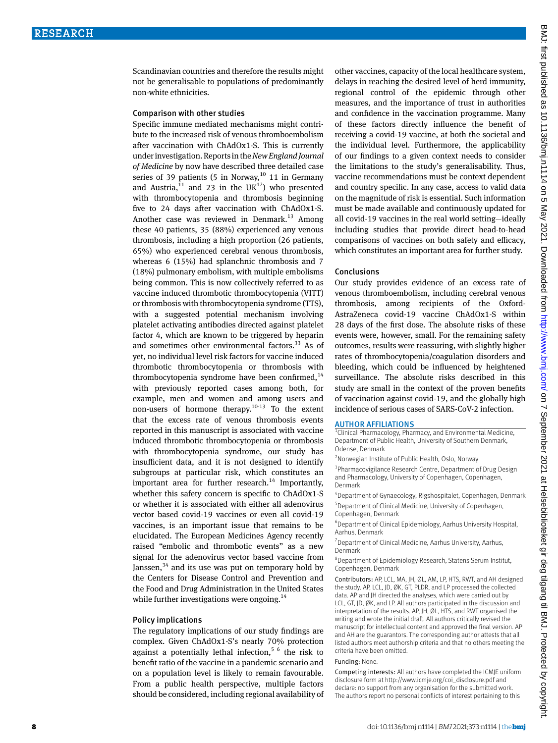Scandinavian countries and therefore the results might not be generalisable to populations of predominantly non-white ethnicities.

#### Comparison with other studies

Specific immune mediated mechanisms might contribute to the increased risk of venous thromboembolism after vaccination with ChAdOx1-S. This is currently under investigation. Reports in the *New England Journal of Medicine* by now have described three detailed case series of 39 patients (5 in Norway, $10$  11 in Germany and Austria,  $11$  and 23 in the UK $12$ ) who presented with thrombocytopenia and thrombosis beginning five to 24 days after vaccination with ChAdOx1-S. Another case was reviewed in Denmark.<sup>13</sup> Among these 40 patients, 35 (88%) experienced any venous thrombosis, including a high proportion (26 patients, 65%) who experienced cerebral venous thrombosis, whereas 6 (15%) had splanchnic thrombosis and 7 (18%) pulmonary embolism, with multiple embolisms being common. This is now collectively referred to as vaccine induced thrombotic thrombocytopenia (VITT) or thrombosis with thrombocytopenia syndrome (TTS), with a suggested potential mechanism involving platelet activating antibodies directed against platelet factor 4, which are known to be triggered by heparin and sometimes other environmental factors.<sup>33</sup> As of yet, no individual level risk factors for vaccine induced thrombotic thrombocytopenia or thrombosis with thrombocytopenia syndrome have been confirmed, $14$ with previously reported cases among both, for example, men and women and among users and non-users of hormone therapy.<sup>10-13</sup> To the extent that the excess rate of venous thrombosis events reported in this manuscript is associated with vaccine induced thrombotic thrombocytopenia or thrombosis with thrombocytopenia syndrome, our study has insufficient data, and it is not designed to identify subgroups at particular risk, which constitutes an important area for further research.<sup>14</sup> Importantly, whether this safety concern is specific to ChAdOx1-S or whether it is associated with either all adenovirus vector based covid-19 vaccines or even all covid-19 vaccines, is an important issue that remains to be elucidated. The European Medicines Agency recently raised "embolic and thrombotic events" as a new signal for the adenovirus vector based vaccine from Janssen,  $34$  and its use was put on temporary hold by the Centers for Disease Control and Prevention and the Food and Drug Administration in the United States while further investigations were ongoing.<sup>14</sup>

#### Policy implications

The regulatory implications of our study findings are complex. Given ChAdOx1-S's nearly 70% protection against a potentially lethal infection,<sup>5 6</sup> the risk to benefit ratio of the vaccine in a pandemic scenario and on a population level is likely to remain favourable. From a public health perspective, multiple factors should be considered, including regional availability of other vaccines, capacity of the local healthcare system, delays in reaching the desired level of herd immunity, regional control of the epidemic through other measures, and the importance of trust in authorities and confidence in the vaccination programme. Many of these factors directly influence the benefit of receiving a covid-19 vaccine, at both the societal and the individual level. Furthermore, the applicability of our findings to a given context needs to consider the limitations to the study's generalisability. Thus, vaccine recommendations must be context dependent and country specific. In any case, access to valid data on the magnitude of risk is essential. Such information must be made available and continuously updated for all covid-19 vaccines in the real world setting—ideally including studies that provide direct head-to-head comparisons of vaccines on both safety and efficacy, which constitutes an important area for further study.

#### Conclusions

Our study provides evidence of an excess rate of venous thromboembolism, including cerebral venous thrombosis, among recipients of the Oxford-AstraZeneca covid-19 vaccine ChAdOx1-S within 28 days of the first dose. The absolute risks of these events were, however, small. For the remaining safety outcomes, results were reassuring, with slightly higher rates of thrombocytopenia/coagulation disorders and bleeding, which could be influenced by heightened surveillance. The absolute risks described in this study are small in the context of the proven benefits of vaccination against covid-19, and the globally high incidence of serious cases of SARS-CoV-2 infection.

## **AUTHOR AFFILIATIONS**

<sup>1</sup> Clinical Pharmacology, Pharmacy, and Environmental Medicine, Department of Public Health, University of Southern Denmark, Odense, Denmark

<sup>2</sup> Norwegian Institute of Public Health, Oslo, Norway

<sup>3</sup> Pharmacovigilance Research Centre, Department of Drug Design and Pharmacology, University of Copenhagen, Copenhagen, Denmark

4 Department of Gynaecology, Rigshospitalet, Copenhagen, Denmark 5 Department of Clinical Medicine, University of Copenhagen, Copenhagen, Denmark

6 Department of Clinical Epidemiology, Aarhus University Hospital, Aarhus, Denmark

<sup>7</sup> Department of Clinical Medicine, Aarhus University, Aarhus, Denmark

8 Department of Epidemiology Research, Statens Serum Institut, Copenhagen, Denmark

Contributors: AP, LCL, MA, JH, ØL, AM, LP, HTS, RWT, and AH designed the study. AP, LCL, JD, ØK, GT, PLDR, and LP processed the collected data. AP and JH directed the analyses, which were carried out by LCL, GT, JD, ØK, and LP. All authors participated in the discussion and interpretation of the results. AP, JH, ØL, HTS, and RWT organised the writing and wrote the initial draft. All authors critically revised the manuscript for intellectual content and approved the final version. AP and AH are the guarantors. The corresponding author attests that all listed authors meet authorship criteria and that no others meeting the criteria have been omitted.

## Funding: None.

Competing interests: All authors have completed the ICMJE uniform disclosure form at [http://www.icmje.org/coi\\_disclosure.pdf](http://www.icmje.org/coi_disclosure.pdf) and declare: no support from any organisation for the submitted work. The authors report no personal conflicts of interest pertaining to this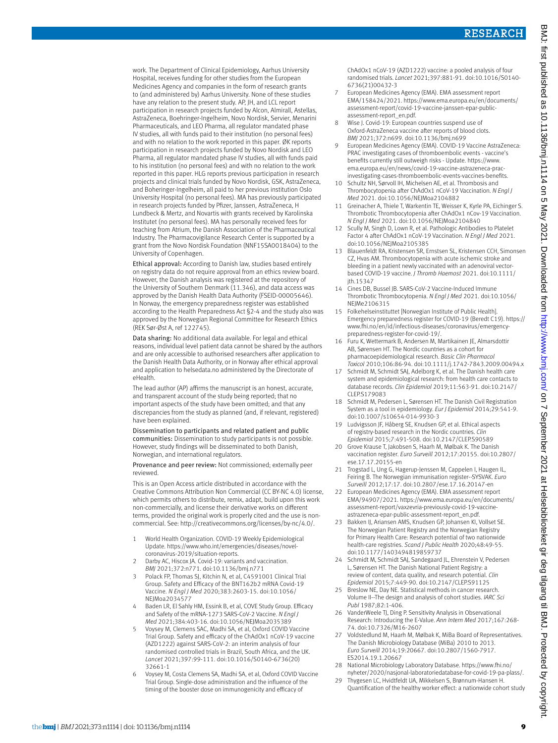work. The Department of Clinical Epidemiology, Aarhus University Hospital, receives funding for other studies from the European Medicines Agency and companies in the form of research grants to (and administered by) Aarhus University. None of these studies have any relation to the present study. AP, JH, and LCL report participation in research projects funded by Alcon, Almirall, Astellas, AstraZeneca, Boehringer-Ingelheim, Novo Nordisk, Servier, Menarini Pharmaceuticals, and LEO Pharma, all regulator mandated phase IV studies, all with funds paid to their institution (no personal fees) and with no relation to the work reported in this paper. ØK reports participation in research projects funded by Novo Nordisk and LEO Pharma, all regulator mandated phase IV studies, all with funds paid to his institution (no personal fees) and with no relation to the work reported in this paper. HLG reports previous participation in research projects and clinical trials funded by Novo Nordisk, GSK, AstraZeneca, and Boheringer-Ingelheim, all paid to her previous institution Oslo University Hospital (no personal fees). MA has previously participated in research projects funded by Pfizer, Janssen, AstraZeneca, H Lundbeck & Mertz, and Novartis with grants received by Karolinska Institutet (no personal fees). MA has personally received fees for teaching from Atrium, the Danish Association of the Pharmaceutical Industry. The Pharmacovigilance Research Center is supported by a grant from the Novo Nordisk Foundation (NNF15SA0018404) to the University of Copenhagen.

Ethical approval: According to Danish law, studies based entirely on registry data do not require approval from an ethics review board. However, the Danish analysis was registered at the repository of the University of Southern Denmark (11.346), and data access was approved by the Danish Health Data Authority (FSEID-00005646). In Norway, the emergency preparedness register was established according to the Health Preparedness Act §2-4 and the study also was approved by the Norwegian Regional Committee for Research Ethics (REK Sør-Øst A, ref 122745).

Data sharing: No additional data available. For legal and ethical reasons, individual level patient data cannot be shared by the authors and are only accessible to authorised researchers after application to the Danish Health Data Authority, or in Norway after ethical approval and application to helsedata.no administered by the Directorate of eHealth.

The lead author (AP) affirms the manuscript is an honest, accurate, and transparent account of the study being reported; that no important aspects of the study have been omitted; and that any discrepancies from the study as planned (and, if relevant, registered) have been explained.

Dissemination to participants and related patient and public communities: Dissemination to study participants is not possible. However, study findings will be disseminated to both Danish, Norwegian, and international regulators.

Provenance and peer review: Not commissioned; externally peer reviewed.

This is an Open Access article distributed in accordance with the Creative Commons Attribution Non Commercial (CC BY-NC 4.0) license, which permits others to distribute, remix, adapt, build upon this work non-commercially, and license their derivative works on different terms, provided the original work is properly cited and the use is noncommercial. See: [http://creativecommons.org/licenses/by-nc/4.0/.](http://creativecommons.org/licenses/by-nc/4.0/)

- 1 World Health Organization. COVID-19 Weekly Epidemiological Update. [https://www.who.int/emergencies/diseases/novel](https://www.who.int/emergencies/diseases/novel-coronavirus-2019/situation-reports)[coronavirus-2019/situation-reports.](https://www.who.int/emergencies/diseases/novel-coronavirus-2019/situation-reports)
- 2 Darby AC, Hiscox JA. Covid-19: variants and vaccination. *BMJ* 2021;372:n771. doi:10.1136/bmj.n771
- 3 Polack FP, Thomas SJ, Kitchin N, et al, C4591001 Clinical Trial Group. Safety and Efficacy of the BNT162b2 mRNA Covid-19 Vaccine. *N Engl J Med* 2020;383:2603-15. doi:10.1056/ NEJMoa2034577
- Baden LR, El Sahly HM, Essink B, et al, COVE Study Group. Efficacy and Safety of the mRNA-1273 SARS-CoV-2 Vaccine. *N Engl J Med* 2021;384:403-16. doi:10.1056/NEJMoa2035389
- 5 Voysey M, Clemens SAC, Madhi SA, et al, Oxford COVID Vaccine Trial Group. Safety and efficacy of the ChAdOx1 nCoV-19 vaccine (AZD1222) against SARS-CoV-2: an interim analysis of four randomised controlled trials in Brazil, South Africa, and the UK. *Lancet* 2021;397:99-111. doi:10.1016/S0140-6736(20) 32661-1
- 6 Voysey M, Costa Clemens SA, Madhi SA, et al, Oxford COVID Vaccine Trial Group. Single-dose administration and the influence of the timing of the booster dose on immunogenicity and efficacy of

ChAdOx1 nCoV-19 (AZD1222) vaccine: a pooled analysis of four randomised trials. *Lancet* 2021;397:881-91. doi:10.1016/S0140- 6736(21)00432-3

- 7 European Medicines Agency (EMA). EMA assessment report EMA/158424/2021. [https://www.ema.europa.eu/en/documents/](https://www.ema.europa.eu/en/documents/assessment-report/covid-19-vaccine-janssen-epar-public-assessment-report_en.pdf) [assessment-report/covid-19-vaccine-janssen-epar-public](https://www.ema.europa.eu/en/documents/assessment-report/covid-19-vaccine-janssen-epar-public-assessment-report_en.pdf)[assessment-report\\_en.pdf](https://www.ema.europa.eu/en/documents/assessment-report/covid-19-vaccine-janssen-epar-public-assessment-report_en.pdf).
- 8 Wise J. Covid-19: European countries suspend use of Oxford-AstraZeneca vaccine after reports of blood clots. *BMJ* 2021;372:n699. doi:10.1136/bmj.n699
- European Medicines Agency (EMA). COVID-19 Vaccine AstraZeneca: PRAC investigating cases of thromboembolic events - vaccine's benefits currently still outweigh risks - Update. [https://www.](https://www.ema.europa.eu/en/news/covid-19-vaccine-astrazeneca-prac-investigating-cases-thromboembolic-events-vaccines-benefits) [ema.europa.eu/en/news/covid-19-vaccine-astrazeneca-prac](https://www.ema.europa.eu/en/news/covid-19-vaccine-astrazeneca-prac-investigating-cases-thromboembolic-events-vaccines-benefits)[investigating-cases-thromboembolic-events-vaccines-benefits](https://www.ema.europa.eu/en/news/covid-19-vaccine-astrazeneca-prac-investigating-cases-thromboembolic-events-vaccines-benefits).
- Schultz NH, Sørvoll IH, Michelsen AE, et al. Thrombosis and Thrombocytopenia after ChAdOx1 nCoV-19 Vaccination. *N Engl J Med* 2021. doi:10.1056/NEJMoa2104882
- 11 Greinacher A, Thiele T, Warkentin TE, Weisser K, Kyrle PA, Eichinger S. Thrombotic Thrombocytopenia after ChAdOx1 nCov-19 Vaccination. *N Engl J Med* 2021. doi:10.1056/NEJMoa2104840
- 12 Scully M, Singh D, Lown R, et al. Pathologic Antibodies to Platelet Factor 4 after ChAdOx1 nCoV-19 Vaccination. *N Engl J Med* 2021. doi:10.1056/NEJMoa2105385
- 13 Blauenfeldt RA, Kristensen SR, Ernstsen SL, Kristensen CCH, Simonsen CZ, Hvas AM. Thrombocytopenia with acute ischemic stroke and bleeding in a patient newly vaccinated with an adenoviral vectorbased COVID-19 vaccine. *J Thromb Haemost* 2021. doi:10.1111/ jth.15347
- 14 Cines DB, Bussel JB. SARS-CoV-2 Vaccine-Induced Immune Thrombotic Thrombocytopenia. *N Engl J Med* 2021. doi:10.1056/ NEJMe2106315
- 15 Folkehelseinstituttet [Norwegian Institute of Public Health]. Emergency preparedness register for COVID-19 (Beredt C19). [https://](https://www.fhi.no/en/id/infectious-diseases/coronavirus/emergency-preparedness-register-for-covid-19/) [www.fhi.no/en/id/infectious-diseases/coronavirus/emergency](https://www.fhi.no/en/id/infectious-diseases/coronavirus/emergency-preparedness-register-for-covid-19/)[preparedness-register-for-covid-19/](https://www.fhi.no/en/id/infectious-diseases/coronavirus/emergency-preparedness-register-for-covid-19/).
- Furu K, Wettermark B, Andersen M, Martikainen JE, Almarsdottir AB, Sørensen HT. The Nordic countries as a cohort for pharmacoepidemiological research. *Basic Clin Pharmacol Toxicol* 2010;106:86-94. doi:10.1111/j.1742-7843.2009.00494.x
- Schmidt M, Schmidt SAJ, Adelborg K, et al. The Danish health care system and epidemiological research: from health care contacts to database records. *Clin Epidemiol* 2019;11:563-91. doi:10.2147/ CLEP.S179083
- 18 Schmidt M, Pedersen L, Sørensen HT. The Danish Civil Registration System as a tool in epidemiology. *Eur J Epidemiol* 2014;29:541-9. doi:10.1007/s10654-014-9930-3
- 19 Ludvigsson JF, Håberg SE, Knudsen GP, et al. Ethical aspects of registry-based research in the Nordic countries. *Clin Epidemiol* 2015;7:491-508. doi:10.2147/CLEP.S90589
- 20 Grove Krause T, Jakobsen S, Haarh M, Mølbak K. The Danish vaccination register. *Euro Surveill* 2012;17:20155. doi:10.2807/ ese.17.17.20155-en
- 21 Trogstad L, Ung G, Hagerup-Jenssen M, Cappelen I, Haugen IL, Feiring B. The Norwegian immunisation register--SYSVAK. *Euro Surveill* 2012;17:17. doi:10.2807/ese.17.16.20147-en
- 22 European Medicines Agency (EMA). EMA assessment report EMA/94907/2021. [https://www.ema.europa.eu/en/documents/](https://www.ema.europa.eu/en/documents/assessment-report/vaxzevria-previously-covid-19-vaccine-astrazeneca-epar-public-assessment-report_en.pdf) [assessment-report/vaxzevria-previously-covid-19-vaccine](https://www.ema.europa.eu/en/documents/assessment-report/vaxzevria-previously-covid-19-vaccine-astrazeneca-epar-public-assessment-report_en.pdf)[astrazeneca-epar-public-assessment-report\\_en.pdf](https://www.ema.europa.eu/en/documents/assessment-report/vaxzevria-previously-covid-19-vaccine-astrazeneca-epar-public-assessment-report_en.pdf).
- Bakken IJ, Ariansen AMS, Knudsen GP, Johansen KI, Vollset SE. The Norwegian Patient Registry and the Norwegian Registry for Primary Health Care: Research potential of two nationwide health-care registries. *Scand J Public Health* 2020;48:49-55. doi:10.1177/1403494819859737
- 24 Schmidt M, Schmidt SAJ, Sandegaard JL, Ehrenstein V, Pedersen L, Sørensen HT. The Danish National Patient Registry: a review of content, data quality, and research potential. *Clin Epidemiol* 2015;7:449-90. doi:10.2147/CLEP.S91125
- 25 Breslow NE, Day NE. Statistical methods in cancer research. Volume II--The design and analysis of cohort studies. *IARC Sci Publ* 1987;82:1-406.
- 26 VanderWeele TJ, Ding P. Sensitivity Analysis in Observational Research: Introducing the E-Value. *Ann Intern Med* 2017;167:268- 74. doi:10.7326/M16-2607
- 27 Voldstedlund M, Haarh M, Mølbak K, MiBa Board of Representatives. The Danish Microbiology Database (MiBa) 2010 to 2013. *Euro Surveill* 2014;19:20667. doi:10.2807/1560-7917. ES2014.19.1.20667
- 28 National Microbiology Laboratory Database. [https://www.fhi.no/](https://www.fhi.no/nyheter/2020/nasjonal-laboratoriedatabase-for-covid-19-pa-plass/) [nyheter/2020/nasjonal-laboratoriedatabase-for-covid-19-pa-plass/.](https://www.fhi.no/nyheter/2020/nasjonal-laboratoriedatabase-for-covid-19-pa-plass/)
- 29 Thygesen LC, Hvidtfeldt UA, Mikkelsen S, Brønnum-Hansen H. Quantification of the healthy worker effect: a nationwide cohort study